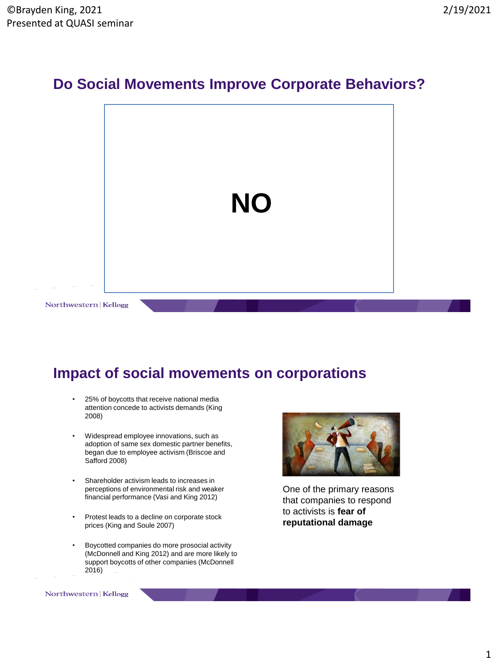#### **Do Social Movements Improve Corporate Behaviors?**



#### **Impact of social movements on corporations**

- 25% of boycotts that receive national media attention concede to activists demands (King 2008)
- Widespread employee innovations, such as adoption of same sex domestic partner benefits, began due to employee activism (Briscoe and Safford 2008)
- Shareholder activism leads to increases in perceptions of environmental risk and weaker financial performance (Vasi and King 2012)
- Protest leads to a decline on corporate stock prices (King and Soule 2007)
- Boycotted companies do more prosocial activity (McDonnell and King 2012) and are more likely to support boycotts of other companies (McDonnell 2016)



One of the primary reasons that companies to respond to activists is **fear of reputational damage**

Northwestern | Kellogg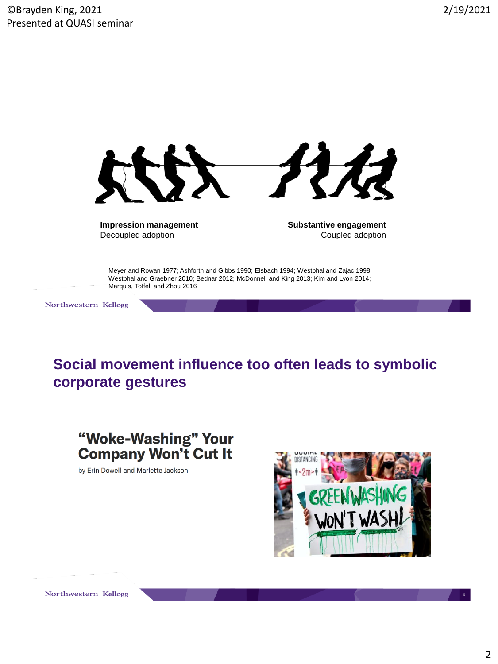

**Impression management** Decoupled adoption

**Substantive engagement** Coupled adoption

Meyer and Rowan 1977; Ashforth and Gibbs 1990; Elsbach 1994; Westphal and Zajac 1998; Westphal and Graebner 2010; Bednar 2012; McDonnell and King 2013; Kim and Lyon 2014; Marquis, Toffel, and Zhou 2016

Northwestern | Kellogg

**Social movement influence too often leads to symbolic corporate gestures** 

"Woke-Washing" Your **Company Won't Cut It** 

by Erin Dowell and Marlette Jackson



Northwestern | Kellogg

4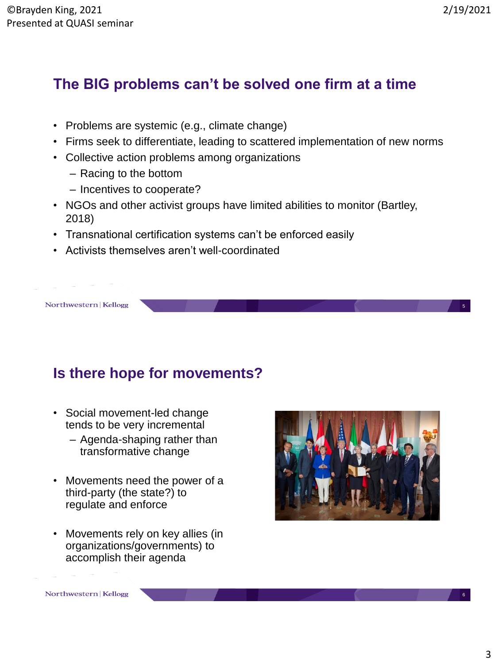# **The BIG problems can't be solved one firm at a time**

- Problems are systemic (e.g., climate change)
- Firms seek to differentiate, leading to scattered implementation of new norms
- Collective action problems among organizations
	- Racing to the bottom
	- Incentives to cooperate?
- NGOs and other activist groups have limited abilities to monitor (Bartley, 2018)
- Transnational certification systems can't be enforced easily
- Activists themselves aren't well-coordinated

# **Is there hope for movements?**

- Social movement-led change tends to be very incremental
	- Agenda-shaping rather than transformative change
- Movements need the power of a third-party (the state?) to regulate and enforce
- Movements rely on key allies (in organizations/governments) to accomplish their agenda



5

6